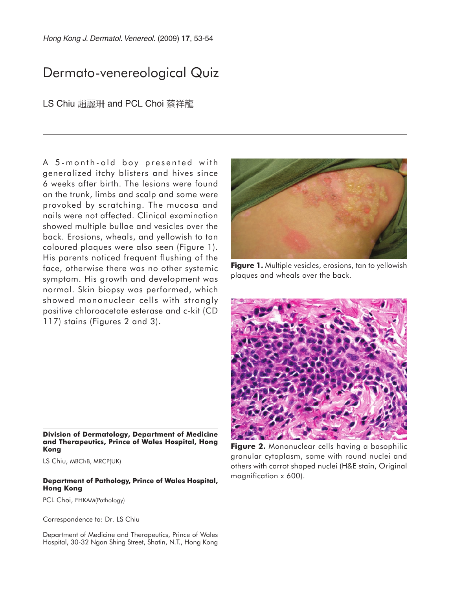Hong Kong J. Dermatol. Venereol. (2009) **17**, 53-54

## Dermato-venereological Quiz

LS Chiu 趙麗珊 and PCL Choi 蔡祥龍

A 5-month-old boy presented with generalized itchy blisters and hives since 6 weeks after birth. The lesions were found on the trunk, limbs and scalp and some were provoked by scratching. The mucosa and nails were not affected. Clinical examination showed multiple bullae and vesicles over the back. Erosions, wheals, and yellowish to tan coloured plaques were also seen (Figure 1). His parents noticed frequent flushing of the face, otherwise there was no other systemic symptom. His growth and development was normal. Skin biopsy was performed, which showed mononuclear cells with strongly positive chloroacetate esterase and c-kit (CD 117) stains (Figures 2 and 3).



**Figure 1.** Multiple vesicles, erosions, tan to yellowish plaques and wheals over the back.



**Figure 2.** Mononuclear cells having a basophilic granular cytoplasm, some with round nuclei and others with carrot shaped nuclei (H&E stain, Original magnification x 600).

**Division of Dermatology, Department of Medicine and Therapeutics, Prince of Wales Hospital, Hong Kong**

LS Chiu, MBChB, MRCP(UK)

## **Department of Pathology, Prince of Wales Hospital, Hong Kong**

PCL Choi, FHKAM(Pathology)

Correspondence to: Dr. LS Chiu

Department of Medicine and Therapeutics, Prince of Wales Hospital, 30-32 Ngan Shing Street, Shatin, N.T., Hong Kong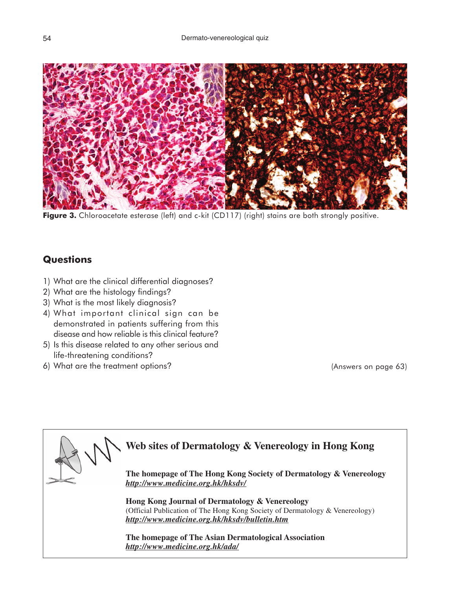

Figure 3. Chloroacetate esterase (left) and c-kit (CD117) (right) stains are both strongly positive.

## **Questions**

- 1) What are the clinical differential diagnoses?
- 2) What are the histology findings?
- 3) What is the most likely diagnosis?
- 4) What important clinical sign can be demonstrated in patients suffering from this disease and how reliable is this clinical feature?
- 5) Is this disease related to any other serious and life-threatening conditions?
- 6) What are the treatment options?

(Answers on page 63)